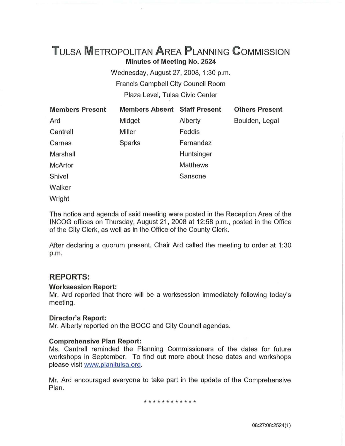# **TuLSA METROPOLITAN AREA PLANNING CoMMISSION Minutes of Meeting No. 2524**

Wednesday, August 27, 2008, 1:30 p.m. Francis Campbell City Council Room Plaza Level, Tulsa Civic Center

| <b>Members Present</b> | <b>Members Absent Staff Present</b> |                 | <b>Others Present</b> |
|------------------------|-------------------------------------|-----------------|-----------------------|
| Ard                    | Midget                              | Alberty         | Boulden, Legal        |
| Cantrell               | Miller                              | Feddis          |                       |
| Carnes                 | <b>Sparks</b>                       | Fernandez       |                       |
| Marshall               |                                     | Huntsinger      |                       |
| <b>McArtor</b>         |                                     | <b>Matthews</b> |                       |
| Shivel                 |                                     | Sansone         |                       |
| Walker                 |                                     |                 |                       |

**Wright** 

The notice and agenda of said meeting were posted in the Reception Area of the INCOG offices on Thursday, August 21, 2008 at 12:58 p.m., posted in the Office of the City Clerk, as well as in the Office of the County Clerk.

After declaring a quorum present, Chair Ard called the meeting to order at 1:30 p.m.

# **REPORTS:**

## **Worksession Report:**

Mr. Ard reported that there will be a worksession immediately following today's meeting.

## **Director's Report:**

Mr. Alberty reported on the BOCC and City Council agendas.

## **Comprehensive Plan Report:**

Ms. Cantrell reminded the Planning Commissioners of the dates for future workshops in September. To find out more about these dates and workshops please visit www.planitulsa.org.

Mr. Ard encouraged everyone to take part in the update of the Comprehensive Plan.

\* \* \* \* \* \* \* \* \* \* \*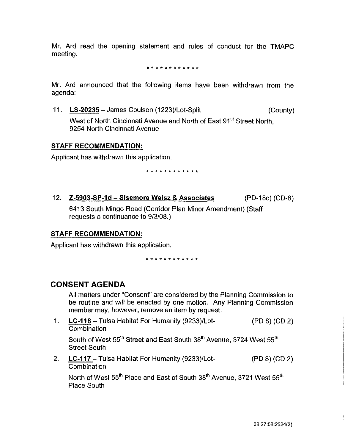Mr. Ard read the opening statement and rules of conduct for the TMAPC meeting.

\* \* \* \* \* \* \* \* \* \* \* \*

Mr. Ard announced that the following items have been withdrawn from the agenda:

11. **LS-20235-** James Coulson (1223)/Lot-Split (County)

West of North Cincinnati Avenue and North of East 91<sup>st</sup> Street North, 9254 North Cincinnati Avenue

## **STAFF RECOMMENDATION:**

Applicant has withdrawn this application.

\* \* \* \* \* \* \* \* \* \* \* \*

12. **Z-5903-SP-1d- Sisemore Weisz & Associates** (PD-18c) (CD-8) 6413 South Mingo Road (Corridor Plan Minor Amendment) (Staff requests a continuance to 9/3/08.)

## **STAFF RECOMMENDATION:**

Applicant has withdrawn this application.

\* \* \* \* \* \* \* \* \* \* \*

# **CONSENT AGENDA**

All matters under "Consent" are considered by the Planning Commission to be routine and will be enacted by one motion. Any Planning Commission member may, however, remove an item by request.

1. **LC-116-** Tulsa Habitat For Humanity (9233)/Lot- (PD 8) (CD 2) **Combination** 

South of West 55<sup>th</sup> Street and East South 38<sup>th</sup> Avenue, 3724 West 55<sup>th</sup> Street South

2. **LC-117-** Tulsa Habitat For Humanity (9233)/Lot- (PD 8) (CD 2) **Combination** 

North of West 55<sup>th</sup> Place and East of South 38<sup>th</sup> Avenue, 3721 West 55<sup>th</sup> Place South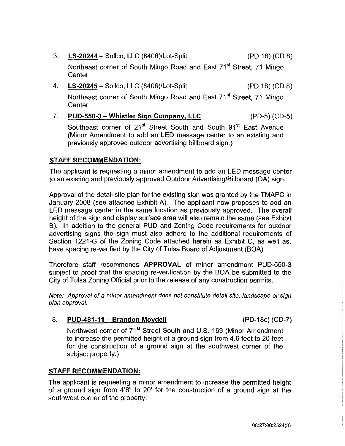- 3. **LS-20244**  Sollee, LLC (8406)/Lot-Split (PD 18) (CD 8) Northeast corner of South Mingo Road and East 71<sup>st</sup> Street, 71 Mingo **Center**
- 4. **LS-20245**  Sollee, LLC (8406)/Lot-Split (PD 18) (CD 8) Northeast corner of South Mingo Road and East 71<sup>st</sup> Street. 71 Mingo **Center**
- 7. **PUD-550-3- Whistler Sign Company, LLC** (PD-5) (CD-5)

Southeast corner of 21<sup>st</sup> Street South and South 91<sup>st</sup> East Avenue (Minor Amendment to add an LED message center to an existing and previously approved outdoor advertising billboard sign.)

# **STAFF RECOMMENDATION:**

The applicant is requesting a minor amendment to add an LED message center to an existing and previously approved Outdoor Advertising/Billboard (OA) sign.

Approval of the detail site plan for the existing sign was granted by the TMAPC in January 2008 (see attached Exhibit A). The applicant now proposes to add an LED message center in the same location as previously approved. The overall height of the sign and display surface area will also remain the same (see Exhibit B). In addition to the general PUD and Zoning Code requirements for outdoor advertising signs the sign must also adhere to the additional requirements of Section 1221-G of the Zoning Code attached herein as Exhibit C, as well as, have spacing re-verified by the City of Tulsa Board of Adjustment (BOA).

Therefore staff recommends **APPROVAL** of minor amendment PUD-550-3 subject to proof that the spacing re-verification by the BOA be submitted to the City of Tulsa Zoning Official prior to the release of any construction permits.

Note: Approval of a minor amendment does not constitute detail site, landscape or sign plan approval.

## 8. **PUD-481-11 -Brandon Moydell** (PD-18c) (CD-7)

Northwest corner of 71<sup>st</sup> Street South and U.S. 169 (Minor Amendment to increase the permitted height of a ground sign from 4.6 feet to 20 feet for the construction of a ground sign at the southwest corner of the subject property.)

## **STAFF RECOMMENDATION:**

The applicant is requesting a minor amendment to increase the permitted height of a ground sign from 4'6" to 20' for the construction of a ground sign at the southwest corner of the property.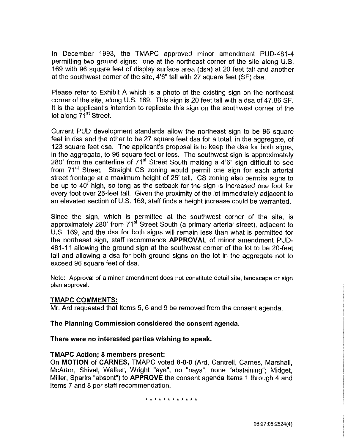In December 1993, the TMAPC approved minor amendment PUD-481-4 permitting two ground signs: one at the northeast corner of the site along U.S. 169 with 96 square feet of display surface area (dsa) at 20 feet tall and another at the southwest corner of the site, 4'6" tall with 27 square feet (SF) dsa.

Please refer to Exhibit A which is a photo of the existing sign on the northeast corner of the site, along U.S. 169. This sign is 20 feet tall with a dsa of 47.86 SF. It is the applicant's intention to replicate this sign on the southwest corner of the lot along 71<sup>st</sup> Street.

Current PUD development standards allow the northeast sign to be 96 square feet in dsa and the other to be 27 square feet dsa for a total, in the aggregate, of 123 square feet dsa. The applicant's proposal is to keep the dsa for both signs, in the aggregate, to 96 square feet or less. The southwest sign is approximately 280' from the centerline of  $71<sup>st</sup>$  Street South making a 4'6" sign difficult to see from 71<sup>st</sup> Street. Straight CS zoning would permit one sign for each arterial street frontage at a maximum height of 25' tall. CS zoning also permits signs to be up to 40' high, so long as the setback for the sign is increased one foot for every foot over 25-feet tall. Given the proximity of the lot immediately adjacent to an elevated section of U.S. 169, staff finds a height increase could be warranted.

Since the sign, which is permitted at the southwest corner of the site, is approximately 280' from  $71<sup>st</sup>$  Street South (a primary arterial street), adjacent to U.S. 169, and the dsa for both signs will remain less than what is permitted for the northeast sign, staff recommends **APPROVAL** of minor amendment PUD-481-11 allowing the ground sign at the southwest corner of the lot to be 20-feet tall and allowing a dsa for both ground signs on the lot in the aggregate not to exceed 96 square feet of dsa.

Note: Approval of a minor amendment does not constitute detail site, landscape or sign plan approval.

## **TMAPC COMMENTS:**

Mr. Ard requested that Items 5, 6 and 9 be removed from the consent agenda.

### **The Planning Commission considered the consent agenda.**

### **There were no interested parties wishing to speak.**

### **TMAPC Action; 8 members present:**

On **MOTION of CARNES,** TMAPC voted **8-0-0** (Ard, Cantrell, Carnes, Marshall, McArtor, Shivel, Walker, Wright "aye"; no "nays"; none "abstaining"; Midget, Miller, Sparks "absent") to **APPROVE** the consent agenda Items 1 through 4 and Items 7 and 8 per staff recommendation.

#### \* \* \* \* \* \* \* \* \* \* \* \*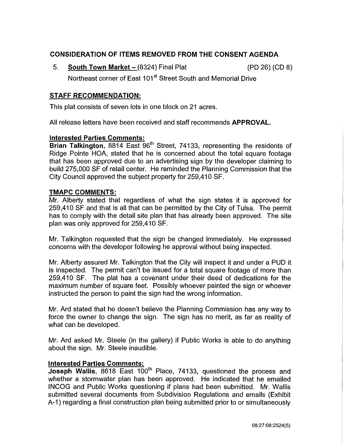# **CONSIDERATION OF ITEMS REMOVED FROM THE CONSENT AGENDA**

5. **South Town Market-** (8324) Final Plat (PD 26) (CD 8) Northeast corner of East 101<sup>st</sup> Street South and Memorial Drive

## **STAFF RECOMMENDATION:**

This plat consists of seven lots in one block on 21 acres.

All release letters have been received and staff recommends **APPROVAL.** 

### **Interested Parties Comments:**

**Brian Talkington,** 8814 East 96<sup>th</sup> Street, 74133, representing the residents of Ridge Pointe HOA, stated that he is concerned about the total square footage that has been approved due to an advertising sign by the developer claiming to build 275,000 SF of retail center. He reminded the Planning Commission that the City Council approved the subject property for 259,410 SF.

### **TMAPC COMMENTS:**

Mr. Alberty stated that regardless of what the sign states it is approved for 259,410 SF and that is all that can be permitted by the City of Tulsa. The permit has to comply with the detail site plan that has already been approved. The site plan was only approved for 259,410 SF.

Mr. Talkington requested that the sign be changed immediately. He expressed concerns with the developer following he approval without being inspected.

Mr. Alberty assured Mr. Talkington that the City will inspect it and under a PUD it is inspected. The permit can't be issued for a total square footage of more than 259,410 SF. The plat has a covenant under their deed of dedications for the maximum number of square feet. Possibly whoever painted the sign or whoever instructed the person to paint the sign had the wrong information.

Mr. Ard stated that he doesn't believe the Planning Commission has any way to force the owner to change the sign. The sign has no merit, as far as reality of what can be developed.

Mr. Ard asked Mr. Steele (in the gallery) if Public Works is able to do anything about the sign. Mr. Steele inaudible.

### **Interested Parties Comments:**

**Joseph Wallis, 8618 East 100<sup>th</sup> Place, 74133, questioned the process and** whether a stormwater plan has been approved. He indicated that he emailed INCOG and Public Works questioning if plans had been submitted. Mr. Wallis submitted several documents from Subdivision Regulations and emails (Exhibit A-1) regarding a final construction plan being submitted prior to or simultaneously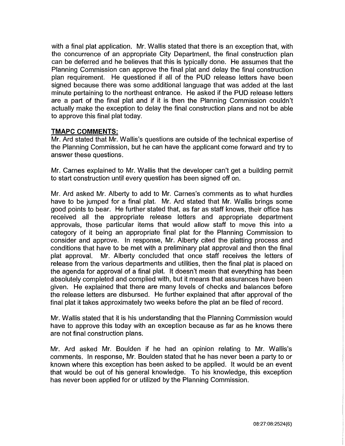with a final plat application. Mr. Wallis stated that there is an exception that, with the concurrence of an appropriate City Department, the final construction plan can be deferred and he believes that this is typically done. He assumes that the Planning Commission can approve the final plat and delay the final construction plan requirement. He questioned if all of the PUD release letters have been signed because there was some additional language that was added at the last minute pertaining to the northeast entrance. He asked if the **PUD** release letters are a part of the final plat and if it is then the Planning Commission couldn't actually make the exception to delay the final construction plans and not be able to approve this final plat today.

### **TMAPC COMMENTS:**

Mr. Ard stated that Mr. Wallis's questions are outside of the technical expertise of the Planning Commission, but he can have the applicant come forward and try to answer these questions.

Mr. Carnes explained to Mr. Wallis that the developer can't get a building permit to start construction until every question has been signed off on.

Mr. Ard asked Mr. Alberty to add to Mr. Carnes's comments as to what hurdles have to be jumped for a final plat. Mr. Ard stated that Mr. Wallis brings some good points to bear. He further stated that, as far as staff knows, their office has received all the appropriate release letters and appropriate department approvals, those particular items that would allow staff to move this into a category of it being an appropriate final plat for the Planning Commission to consider and approve. In response, Mr. Alberty cited the platting process and conditions that have to be met with a preliminary plat approval and then the final plat approval. Mr. Alberty concluded that once staff receives the letters of release from the various departments and utilities, then the final plat is placed on the agenda for approval of a final plat. It doesn't mean that everything has been absolutely completed and complied with, but it means that assurances have been given. He explained that there are many levels of checks and balances before the release letters are disbursed. He further explained that after approval of the final plat it takes approximately two weeks before the plat an be filed of record.

Mr. Wallis stated that it is his understanding that the Planning Commission would have to approve this today with an exception because as far as he knows there are not final construction plans.

Mr. Ard asked Mr. Boulden if he had an opinion relating to Mr. Wallis's comments. In response, Mr. Boulden stated that he has never been a party to or known where this exception has been asked to be applied. It would be an event that would be out of his general knowledge. To his knowledge, this exception has never been applied for or utilized by the Planning Commission.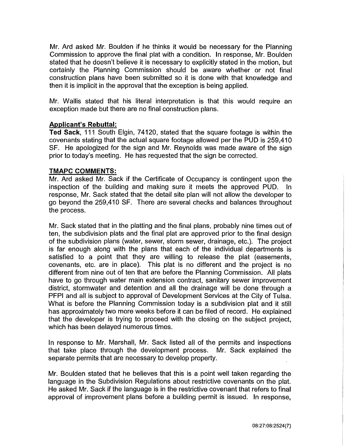Mr. Ard asked Mr. Boulden if he thinks it would be necessary for the Planning Commission to approve the final plat with a condition. In response, Mr. Boulden stated that he doesn't believe it is necessary to explicitly stated in the motion, but certainly the Planning Commission should be aware whether or not final construction plans have been submitted so it is done with that knowledge and then it is implicit in the approval that the exception is being applied.

Mr. Wallis stated that his literal interpretation is that this would require an exception made but there are no final construction plans.

### **Applicant's Rebuttal:**

**Ted Sack,** 111 South Elgin, 74120, stated that the square footage is within the covenants stating that the actual square footage allowed per the PUD is 259,410 SF. He apologized for the sign and Mr. Reynolds was made aware of the sign prior to today's meeting. He has requested that the sign be corrected.

### **TMAPC COMMENTS:**

Mr. Ard asked Mr. Sack if the Certificate of Occupancy is contingent upon the inspection of the building and making sure it meets the approved PUD. In response, Mr. Sack stated that the detail site plan will not allow the developer to go beyond the 259,410 SF. There are several checks and balances throughout the process.

Mr. Sack stated that in the platting and the final plans, probably nine times out of ten, the subdivision plats and the final plat are approved prior to the final design of the subdivision plans (water, sewer, storm sewer, drainage, etc.). The project is far enough along with the plans that each of the individual departments is satisfied to a point that they are willing to release the plat (easements, covenants, etc. are in place). This plat is no different and the project is no different from nine out of ten that are before the Planning Commission. All plats have to go through water main extension contract, sanitary sewer improvement district, stormwater and detention and all the drainage will be done through a PFPI and all is subject to approval of Development Services at the City of Tulsa. What is before the Planning Commission today is a subdivision plat and it still has approximately two more weeks before it can be filed of record. He explained that the developer is trying to proceed with the closing on the subject project, which has been delayed numerous times.

In response to Mr. Marshall, Mr. Sack listed all of the permits and inspections that take place through the development process. Mr. Sack explained the separate permits that are necessary to develop property.

Mr. Boulden stated that he believes that this is a point well taken regarding the language in the Subdivision Regulations about restrictive covenants on the plat. He asked Mr. Sack if the language is in the restrictive covenant that refers to final approval of improvement plans before a building permit is issued. In response,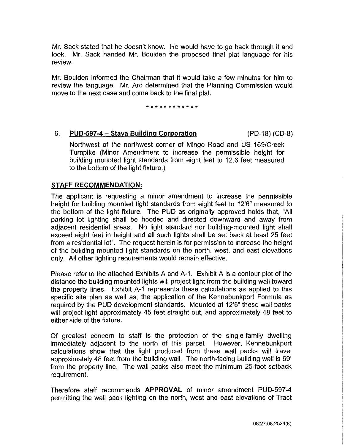Mr. Sack stated that he doesn't know. He would have to go back through it and look. Mr. Sack handed Mr. Boulden the proposed final plat language for his review.

Mr. Boulden informed the Chairman that it would take a few minutes for him to review the language. Mr. Ard determined that the Planning Commission would move to the next case and come back to the final plat.

\* \* \* \* \* \* \* \* \* \* \* \*

## 6. **PUD-597-4- Stava Building Corporation** (PD-18) (CD-8)

Northwest of the northwest corner of Mingo Road and US 169/Creek Turnpike (Minor Amendment to increase the permissible height for building mounted light standards from eight feet to 12.6 feet measured to the bottom of the light fixture.)

## **STAFF RECOMMENDATION:**

The applicant is requesting a minor amendment to increase the permissible height for building mounted light standards from eight feet to 12'6" measured to the bottom of the light fixture. The PUD as originally approved holds that, "All parking lot lighting shall be hooded and directed downward and away from adjacent residential areas. No light standard nor building-mounted light shall exceed eight feet in height and all such lights shall be set back at least 25 feet from a residential lot". The request herein is for permission to increase the height of the building mounted light standards on the north, west, and east elevations only. All other lighting requirements would remain effective.

Please refer to the attached Exhibits A and A-1. Exhibit A is a contour plot of the distance the building mounted lights will project light from the building wall toward the property lines. Exhibit A-1 represents these calculations as applied to this specific site plan as well as, the application of the Kennebunkport Formula as required by the PUD development standards. Mounted at 12'6" these wall packs will project light approximately 45 feet straight out, and approximately 48 feet to either side of the fixture.

Of greatest concern to staff is the protection of the single-family dwelling immediately adjacent to the north of this parcel. However, Kennebunkport calculations show that the light produced from these wall packs will travel approximately 48 feet from the building wall. The north-facing building wall is 69' from the property line. The wall packs also meet the minimum 25-foot setback requirement.

Therefore staff recommends **APPROVAL** of minor amendment PUD-597-4 permitting the wall pack lighting on the north, west and east elevations of Tract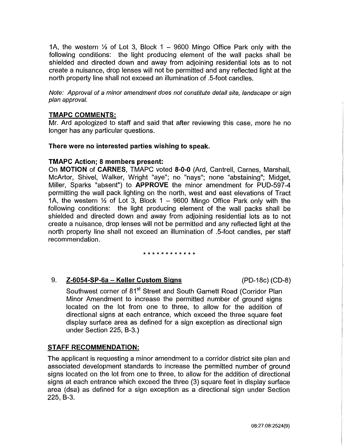1A, the western *Ya* of Lot 3, Block 1 - 9600 Mingo Office Park only with the following conditions: the light producing element of the wall packs shall be shielded and directed down and away from adjoining residential lots as to not create a nuisance, drop lenses will not be permitted and any reflected light at the north property line shall not exceed an illumination of .5-foot candles.

Note: Approval of a minor amendment does not constitute detail site, landscape or sign plan approval.

## **TMAPC COMMENTS:**

Mr. Ard apologized to staff and said that after reviewing this case, more he no longer has any particular questions.

### **There were no interested parties wishing to speak.**

### **TMAPC Action; 8 members present:**

On **MOTION of CARNES,** TMAPC voted **8-0-0** (Ard, Cantrell, Carnes, Marshall, McArtor, Shivel, Walker, Wright "aye"; no "nays"; none "abstaining"; Midget, Miller, Sparks "absent") to **APPROVE** the minor amendment for PUD-597 -4 permitting the wall pack lighting on the north, west and east elevations of Tract 1A, the western *Ya* of Lot 3, Block 1 - 9600 Mingo Office Park only with the following conditions: the light producing element of the wall packs shall be shielded and directed down and away from adjoining residential lots as to not create a nuisance, drop lenses will not be permitted and any reflected light at the north property line shall not exceed an illumination of .5-foot candles, per staff recommendation.

#### \* \* \* \* \* \* \* \* \* \* \* \*

9. **Z-6054-SP-Ga- Keller Custom Signs** (PD-18c) (CD-8)

Southwest corner of 81<sup>st</sup> Street and South Garnett Road (Corridor Plan Minor Amendment to increase the permitted number of ground signs located on the lot from one to three, to allow for the addition of directional signs at each entrance, which exceed the three square feet display surface area as defined for a sign exception as directional sign under Section 225, B-3.)

## **STAFF RECOMMENDATION:**

The applicant is requesting a minor amendment to a corridor district site plan and associated development standards to increase the permitted number of ground signs located on the lot from one to three, to allow for the addition of directional signs at each entrance which exceed the three (3) square feet in display surface area (dsa) as defined for a sign exception as a directional sign under Section 225, B-3.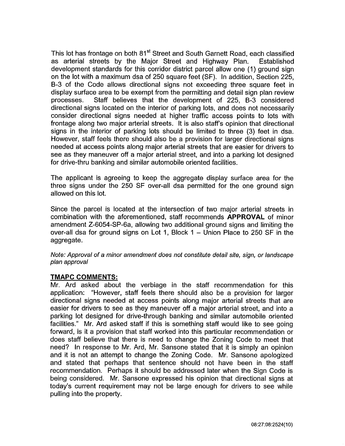This lot has frontage on both 81<sup>st</sup> Street and South Garnett Road, each classified as arterial streets by the Major Street and Highway Plan. Established development standards for this corridor district parcel allow one (1) ground sign on the lot with a maximum dsa of 250 square feet (SF). In addition, Section 225, B-3 of the Code allows directional signs not exceeding three square feet in display surface area to be exempt from the permitting and detail sign plan review processes. Staff believes that the development of 225, B-3 considered directional signs located on the interior of parking lots, and does not necessarily consider directional signs needed at higher traffic access points to lots with frontage along two major arterial streets. It is also staff's opinion that directional signs in the interior of parking lots should be limited to three (3) feet in dsa. However, staff feels there should also be a provision for larger directional signs needed at access points along major arterial streets that are easier for drivers to see as they maneuver off a major arterial street, and into a parking lot designed for drive-thru banking and similar automobile oriented facilities.

The applicant is agreeing to keep the aggregate display surface area for the three signs under the 250 SF over-all dsa permitted for the one ground sign allowed on this lot.

Since the parcel is located at the intersection of two major arterial streets in combination with the aforementioned, staff recommends **APPROVAL** of minor amendment Z-6054-SP-6a, allowing two additional ground signs and limiting the over-all dsa for ground signs on Lot 1, Block 1 - Union Place to 250 SF in the aggregate.

Note: Approval of a minor amendment does not constitute detail site, sign, or landscape plan approval

## **TMAPC COMMENTS:**

Mr. Ard asked about the verbiage in the staff recommendation for this application: "However, staff feels there should also be a provision for larger directional signs needed at access points along major arterial streets that are easier for drivers to see as they maneuver off a major arterial street, and into a parking lot designed for drive-through banking and similar automobile oriented facilities." Mr. Ard asked staff if this is something staff would like to see going forward, is it a provision that staff worked into this particular recommendation or does staff believe that there is need to change the Zoning Code to meet that need? In response to Mr. Ard, Mr. Sansone stated that it is simply an opinion and it is not an attempt to change the Zoning Code. Mr. Sansone apologized and stated that perhaps that sentence should not have been in the staff recommendation. Perhaps it should be addressed later when the Sign Code is being considered. Mr. Sansone expressed his opinion that directional signs at today's current requirement may not be large enough for drivers to see while pulling into the property.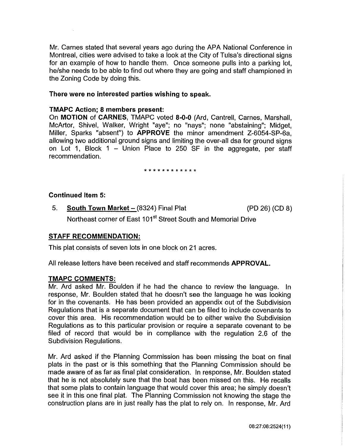Mr. Carnes stated that several years ago during the APA National Conference in Montreal, cities were advised to take a look at the City of Tulsa's directional signs for an example of how to handle them. Once someone pulls into a parking lot, he/she needs to be able to find out where they are going and staff championed in the Zoning Code by doing this.

#### **There were no interested parties wishing to speak.**

#### **TMAPC Action; 8 members present:**

On **MOTION of CARNES,** TMAPC voted **8-0-0** (Ard, Cantrell, Carnes, Marshall, McArtor, Shivel, Walker, Wright "aye"; no "nays"; none "abstaining"; Midget, Miller, Sparks "absent") to **APPROVE** the minor amendment Z-6054-SP-6a, allowing two additional ground signs and limiting the over-all dsa for ground signs on Lot 1, Block 1 - Union Place to 250 SF in the aggregate, per staff recommendation.

#### \* \* \* \* \* \* \* \* \* \* \* \*

#### **Continued Item 5:**

5. **South Town Market-** (8324) Final Plat (PD 26) (CD 8) Northeast corner of East 101<sup>st</sup> Street South and Memorial Drive

### **STAFF RECOMMENDATION:**

This plat consists of seven lots in one block on 21 acres.

All release letters have been received and staff recommends **APPROVAL.** 

#### **TMAPC COMMENTS:**

Mr. Ard asked Mr. Boulden if he had the chance to review the language. In response, Mr. Boulden stated that he doesn't see the language he was looking for in the covenants. He has been provided an appendix out of the Subdivision Regulations that is a separate document that can be filed to include covenants to cover this area. His recommendation would be to either waive the Subdivision Regulations as to this particular provision or require a separate covenant to be filed of record that would be in compliance with the regulation 2.6 of the Subdivision Regulations.

Mr. Ard asked if the Planning Commission has been missing the boat on final plats in the past or is this something that the Planning Commission should be made aware of as far as final plat consideration. In response, Mr. Boulden stated that he is not absolutely sure that the boat has been missed on this. He recalls that some plats to contain language that would cover this area; he simply doesn't see it in this one final plat. The Planning Commission not knowing the stage the construction plans are in just really has the plat to rely on. In response, Mr. Ard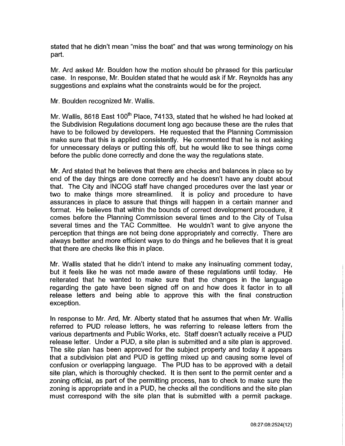stated that he didn't mean "miss the boat" and that was wrong terminology on his part.

Mr. Ard asked Mr. Boulden how the motion should be phrased for this particular case. In response, Mr. Boulden stated that he would ask if Mr. Reynolds has any suggestions and explains what the constraints would be for the project.

Mr. Boulden recognized Mr. Wallis.

Mr. Wallis, 8618 East 100<sup>th</sup> Place, 74133, stated that he wished he had looked at the Subdivision Regulations document long ago because these are the rules that have to be followed by developers. He requested that the Planning Commission make sure that this is applied consistently. He commented that he is not asking for unnecessary delays or putting this off, but he would like to see things come before the public done correctly and done the way the regulations state.

Mr. Ard stated that he believes that there are checks and balances in place so by end of the day things are done correctly and he doesn't have any doubt about that. The City and INCOG staff have changed procedures over the last year or two to make things more streamlined. It is policy and procedure to have assurances in place to assure that things will happen in a certain manner and format. He believes that within the bounds of correct development procedure, it comes before the Planning Commission several times and to the City of Tulsa several times and the TAG Committee. He wouldn't want to give anyone the perception that things are not being done appropriately and correctly. There are always better and more efficient ways to do things and he believes that it is great that there are checks like this in place.

Mr. Wallis stated that he didn't intend to make any insinuating comment today, but it feels like he was not made aware of these regulations until today. He reiterated that he wanted to make sure that the changes in the language regarding the gate have been signed off on and how does it factor in to all release letters and being able to approve this with the final construction exception.

In response to Mr. Ard, Mr. Alberty stated that he assumes that when Mr. Wallis referred to PUD release letters, he was referring to release letters from the various departments and Public Works, etc. Staff doesn't actually receive a PUD release letter. Under a PUD, a site plan is submitted and a site plan is approved. The site plan has been approved for the subject property and today it appears that a subdivision plat and PUD is getting mixed up and causing some level of confusion or overlapping language. The PUD has to be approved with a detail site plan, which is thoroughly checked. It is then sent to the permit center and a zoning official, as part of the permitting process, has to check to make sure the zoning is appropriate and in a PUD, he checks all the conditions and the site plan must correspond with the site plan that is submitted with a permit package.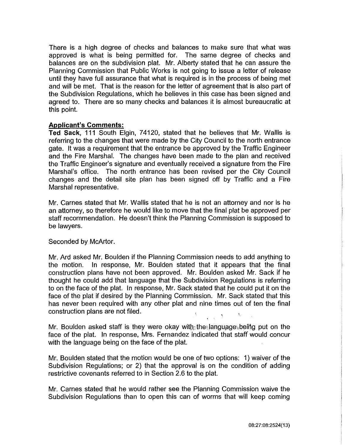There is a high degree of checks and balances to make sure that what was approved is what is being permitted for. The same degree of checks and balances are on the subdivision plat. Mr. Alberty stated that he can assure the Planning Commission that Public Works is not going to issue a letter of release until they have full assurance that what is required is in the process of being met and will be met. That is the reason for the letter of agreement that is also part of the Subdivision Regulations, which he believes in this case has been signed and agreed to. There are so many checks and balances it is almost bureaucratic at this point.

### **Applicant's Comments:**

**Ted Sack,** 111 South Elgin, 74120, stated that he believes that Mr. Wallis is referring to the changes that were made by the City Council to the north entrance gate. It was a requirement that the entrance be approved by the Traffic Engineer and the Fire Marshal. The changes have been made to the plan and received the Traffic Engineer's signature and eventually received a signature from the Fire Marshal's office. The north entrance has been revised per the City Council changes and the detail site plan has been signed off by Traffic and a Fire Marshal representative.

Mr. Carnes stated that Mr. Wallis stated that he is not an attorney and nor is he an attorney, so therefore he would like to move that the final plat be approved per staff recommendation. He doesn't think the Planning Commission is supposed to be lawyers.

### Seconded by McArtor.

Mr. Ard asked Mr. Boulden if the Planning Commission needs to add anything to the motion. In response, Mr. Boulden stated that it appears that the final construction plans have not been approved. Mr. Boulden asked Mr. Sack if he thought he could add that language that the Subdivision Regulations is referring to on the face of the plat. In response, Mr. Sack stated that he could put it on the face of the plat if desired by the Planning Commission. Mr. Sack stated that this has never been required with any other plat and nine times out of ten the final construction plans are not filed.

Mr. Boulden asked staff is they were okay with the language being put on the face of the plat. In response, Mrs. Fernandez indicated that staff would concur with the language being on the face of the plat.

Mr. Boulden stated that the motion would be one of two options: 1) waiver of the Subdivision Regulations; or 2) that the approval is on the condition of adding restrictive covenants referred to in Section 2.6 to the plat.

Mr. Carnes stated that he would rather see the Planning Commission waive the Subdivision Regulations than to open this can of worms that will keep coming